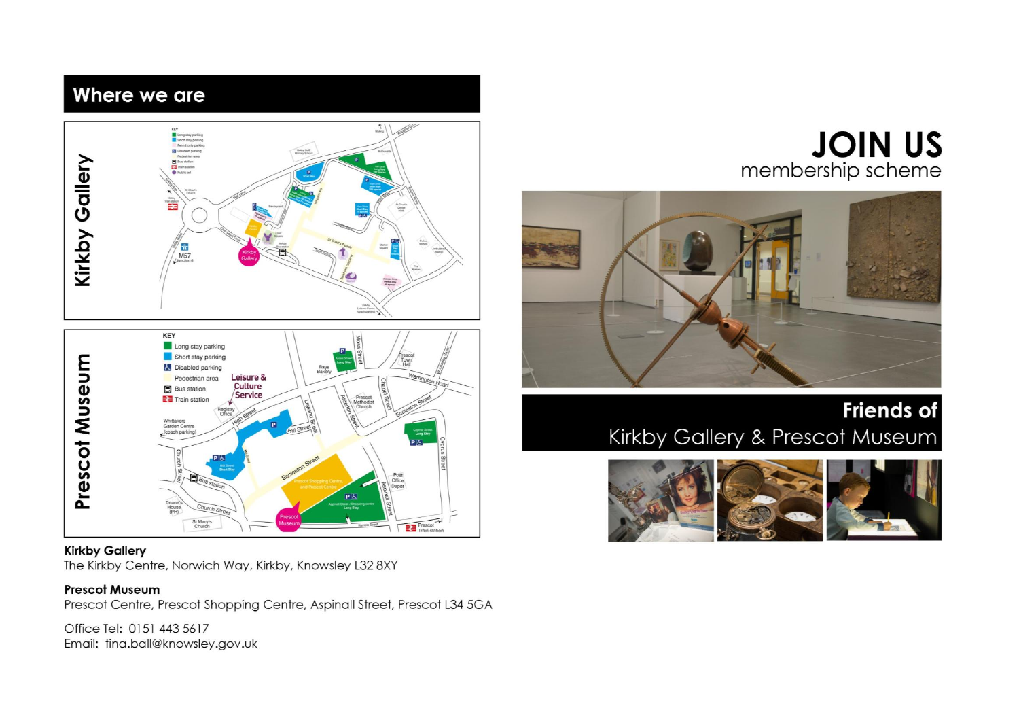## Where we are



#### **Kirkby Gallery**

The Kirkby Centre, Norwich Way, Kirkby, Knowsley L32 8XY

#### **Prescot Museum**

Prescot Centre, Prescot Shopping Centre, Aspinall Street, Prescot L34 5GA

Office Tel: 0151 443 5617 Email: tina.ball@knowsley.gov.uk

# **JOIN US** membership scheme



## **Friends of** Kirkby Gallery & Prescot Museum